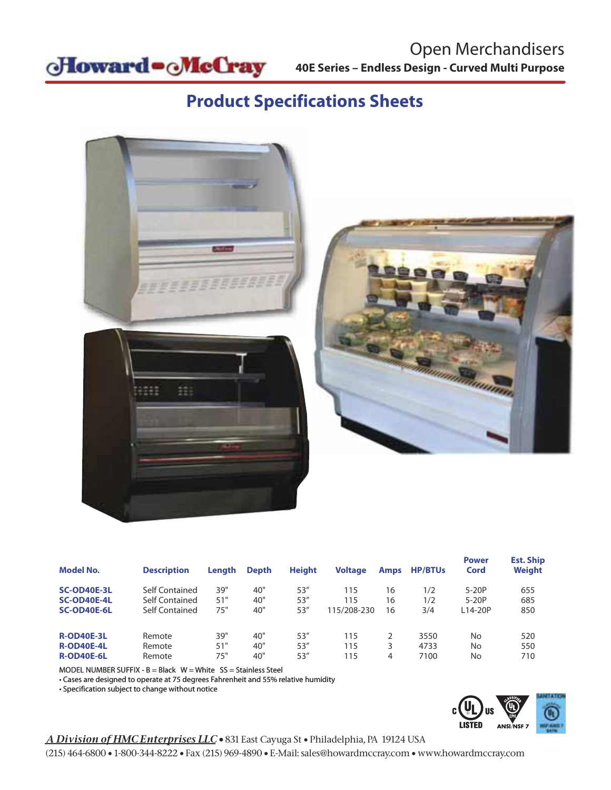

# **Product Specifications Sheets**



| <b>Model No.</b>                                            | <b>Description</b>                                 | <b>Lenath</b>     | <b>Depth</b>      | <b>Height</b>        | <b>Voltage</b>            | <b>Amps</b>    | <b>HP/BTUs</b>       | <b>Power</b><br>Cord          | <b>Est. Ship</b><br>Weight |
|-------------------------------------------------------------|----------------------------------------------------|-------------------|-------------------|----------------------|---------------------------|----------------|----------------------|-------------------------------|----------------------------|
| <b>SC-OD40E-3L</b><br><b>SC-OD40E-4L</b><br>SC-OD40E-6L     | Self Contained<br>Self Contained<br>Self Contained | 39"<br>51"<br>75" | 40"<br>40"<br>40" | 53''<br>53''<br>53'' | 115<br>115<br>115/208-230 | 16<br>16<br>16 | 1/2<br>1/2<br>3/4    | $5-20P$<br>$5-20P$<br>L14-20P | 655<br>685<br>850          |
| <b>R-OD40E-3L</b><br><b>R-OD40E-4L</b><br><b>R-OD40E-6L</b> | Remote<br>Remote<br>Remote                         | 39"<br>51"<br>75" | 40"<br>40"<br>40" | 53''<br>53''<br>53'' | 115<br>115<br>115         | 3<br>4         | 3550<br>4733<br>7100 | No<br>No<br>No                | 520<br>550<br>710          |

MODEL NUMBER SUFFIX -  $B = Black$  W = White SS = Stainless Steel

• Cases are designed to operate at 75 degrees Fahrenheit and 55% relative humidity

• Specification subject to change without notice



#### *A Division of HMC Enterprises LLC •* 831 East Cayuga St • Philadelphia, PA 19124 USA

(215) 464-6800 • 1-800-344-8222 • Fax (215) 969-4890 • E-Mail: sales@howardmccray.com • www.howardmccray.com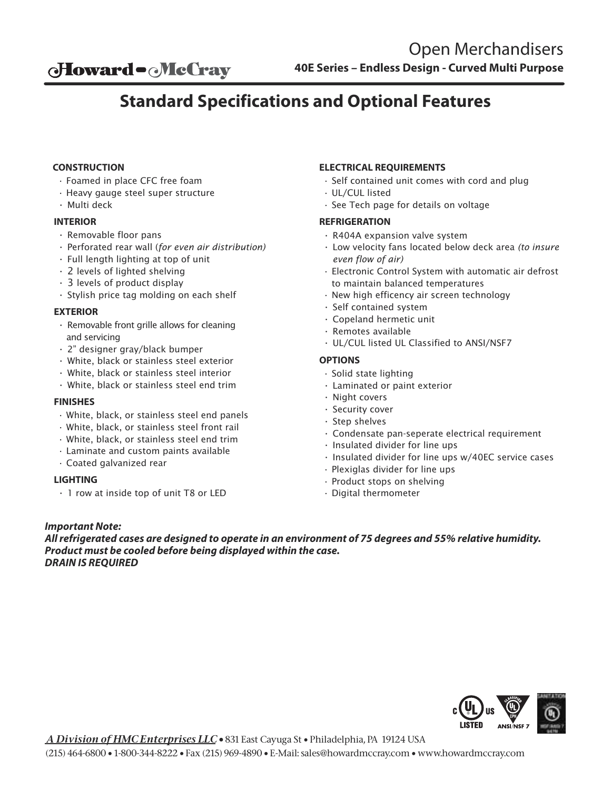## **Standard Specifications and Optional Features**

#### **CONSTRUCTION**

- Foamed in place CFC free foam
- Heavy gauge steel super structure
- Multi deck

#### **INTERIOR**

- Removable floor pans
- Perforated rear wall (*for even air distribution)*
- Full length lighting at top of unit
- 2 levels of lighted shelving
- 3 levels of product display
- Stylish price tag molding on each shelf

#### **EXTERIOR**

- Removable front grille allows for cleaning and servicing
- 2" designer gray/black bumper
- White, black or stainless steel exterior
- White, black or stainless steel interior
- White, black or stainless steel end trim

#### **FINISHES**

- White, black, or stainless steel end panels
- White, black, or stainless steel front rail
- White, black, or stainless steel end trim
- Laminate and custom paints available
- Coated galvanized rear

#### **LIGHTING**

• 1 row at inside top of unit T8 or LED

#### **ELECTRICAL REQUIREMENTS**

- Self contained unit comes with cord and plug
- UL/CUL listed
- See Tech page for details on voltage

#### **REFRIGERATION**

- R404A expansion valve system
- Low velocity fans located below deck area *(to insure even flow of air)*
- Electronic Control System with automatic air defrost to maintain balanced temperatures
- New high efficency air screen technology
- Self contained system
- Copeland hermetic unit
- Remotes available
- UL/CUL listed UL Classified to ANSI/NSF7

#### **OPTIONS**

- Solid state lighting
- Laminated or paint exterior
- Night covers
- Security cover
- Step shelves
- Condensate pan-seperate electrical requirement
- Insulated divider for line ups
- Insulated divider for line ups w/40EC service cases
- Plexiglas divider for line ups
- Product stops on shelving
- Digital thermometer

### *Important Note:*

*All refrigerated cases are designed to operate in an environment of 75 degrees and 55% relative humidity. Product must be cooled before being displayed within the case. DRAIN IS REQUIRED*



*A Division of HMC Enterprises LLC •* 831 East Cayuga St • Philadelphia, PA 19124 USA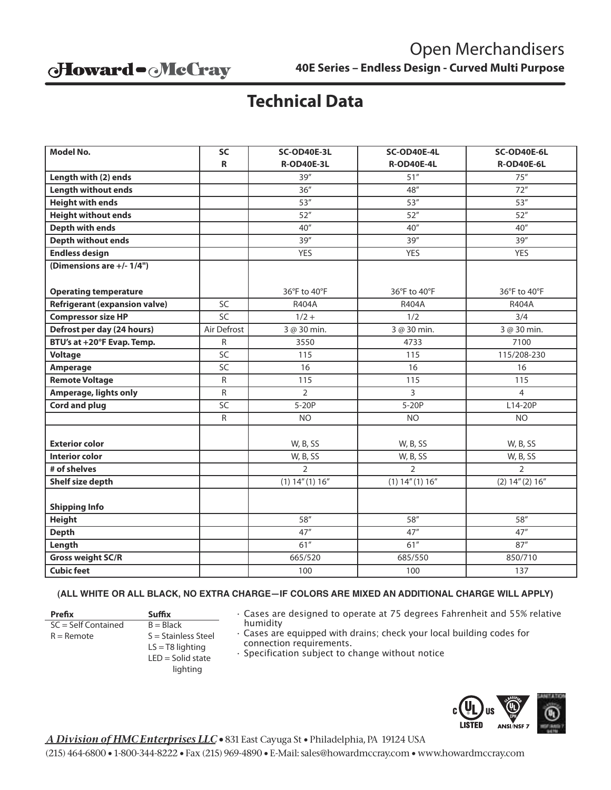### Howard - McCray

## **Technical Data**

| <b>Model No.</b>                     | <b>SC</b>       | SC-OD40E-3L       | SC-OD40E-4L         | SC-OD40E-6L       |
|--------------------------------------|-----------------|-------------------|---------------------|-------------------|
|                                      | R               | <b>R-OD40E-3L</b> | <b>R-OD40E-4L</b>   | <b>R-OD40E-6L</b> |
| Length with (2) ends                 |                 | 39''              | 51''                | 75''              |
| <b>Length without ends</b>           |                 | 36''              | 48''                | 72"               |
| <b>Height with ends</b>              |                 | 53''              | 53''                | 53''              |
| <b>Height without ends</b>           |                 | 52"               | 52''                | 52''              |
| <b>Depth with ends</b>               |                 | 40''              | 40''                | 40''              |
| <b>Depth without ends</b>            |                 | 39''              | 39''                | 39''              |
| <b>Endless design</b>                |                 | <b>YES</b>        | <b>YES</b>          | <b>YES</b>        |
| (Dimensions are +/- 1/4")            |                 |                   |                     |                   |
|                                      |                 |                   |                     |                   |
| <b>Operating temperature</b>         |                 | 36°F to 40°F      | 36°F to 40°F        | 36°F to 40°F      |
| <b>Refrigerant (expansion valve)</b> | SC              | R404A             | R404A               | R404A             |
| <b>Compressor size HP</b>            | SC              | $1/2 +$           | 1/2                 | 3/4               |
| Defrost per day (24 hours)           | Air Defrost     | 3 @ 30 min.       | 3 @ 30 min.         | 3 @ 30 min.       |
| BTU's at +20°F Evap. Temp.           | R               | 3550              | 4733                | 7100              |
| <b>Voltage</b>                       | SC              | 115               | 115                 | 115/208-230       |
| Amperage                             | SC              | 16                | 16                  | 16                |
| <b>Remote Voltage</b>                | ${\sf R}$       | 115               | 115                 | 115               |
| Amperage, lights only                | $\mathsf{R}$    | $\overline{2}$    | $\overline{3}$      | $\overline{4}$    |
| <b>Cord and plug</b>                 | $\overline{SC}$ | $5-20P$           | $5-20P$             | L14-20P           |
|                                      | R               | <b>NO</b>         | <b>NO</b>           | <b>NO</b>         |
|                                      |                 |                   |                     |                   |
| <b>Exterior color</b>                |                 | W, B, SS          | W, B, SS            | W, B, SS          |
| <b>Interior color</b>                |                 | W, B, SS          | W, B, SS            | W, B, SS          |
| # of shelves                         |                 | $\overline{2}$    | $\overline{2}$      | $\overline{2}$    |
| Shelf size depth                     |                 | (1) 14''(1) 16''  | $(1)$ 14" $(1)$ 16" | (2) 14'' (2) 16'' |
|                                      |                 |                   |                     |                   |
| <b>Shipping Info</b>                 |                 |                   |                     |                   |
| <b>Height</b>                        |                 | 58"               | 58"                 | 58"               |
| <b>Depth</b>                         |                 | 47''              | 47''                | 47''              |
| Length                               |                 | 61"               | 61''                | 87''              |
| <b>Gross weight SC/R</b>             |                 | 665/520           | 685/550             | 850/710           |
| <b>Cubic feet</b>                    |                 | 100               | 100                 | 137               |

#### **(ALL WHITE OR ALL BLACK, NO EXTRA CHARGE—IF COLORS ARE MIXED AN ADDITIONAL CHARGE WILL APPLY)**

Prefix **Suffix**  $SC = Self Contained$ <br>  $R = Remote$ <br>  $S = Stainle$ 

S = Stainless Steel  $LS = T8$  lighting LED = Solid state

- lighting
- Cases are designed to operate at 75 degrees Fahrenheit and 55% relative humidity
- Cases are equipped with drains; check your local building codes for connection requirements.
- Specification subject to change without notice



*A Division of HMC Enterprises LLC •* 831 East Cayuga St • Philadelphia, PA 19124 USA